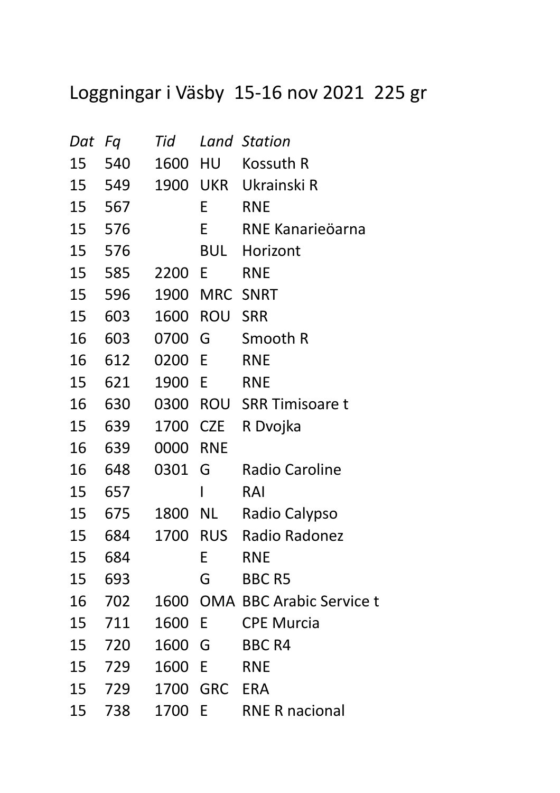## Loggningar i Väsby 15-16 nov 2021 225 gr

| Dat | Fq  | Tid  |            | <b>Land Station</b>             |
|-----|-----|------|------------|---------------------------------|
| 15  | 540 | 1600 | HU         | Kossuth R                       |
| 15  | 549 | 1900 | UKR        | Ukrainski R                     |
| 15  | 567 |      | Е          | <b>RNE</b>                      |
| 15  | 576 |      | E          | RNE Kanarieöarna                |
| 15  | 576 |      | BUL        | Horizont                        |
| 15  | 585 | 2200 | E          | <b>RNE</b>                      |
| 15  | 596 | 1900 | <b>MRC</b> | <b>SNRT</b>                     |
| 15  | 603 | 1600 | <b>ROU</b> | <b>SRR</b>                      |
| 16  | 603 | 0700 | G          | Smooth R                        |
| 16  | 612 | 0200 | E          | <b>RNE</b>                      |
| 15  | 621 | 1900 | E          | <b>RNE</b>                      |
| 16  | 630 | 0300 |            | <b>ROU</b> SRR Timisoare t      |
| 15  | 639 | 1700 | CZE        | R Dvojka                        |
| 16  | 639 | 0000 | <b>RNE</b> |                                 |
| 16  | 648 | 0301 | G          | <b>Radio Caroline</b>           |
| 15  | 657 |      |            | RAI                             |
| 15  | 675 | 1800 | NL L       | Radio Calypso                   |
| 15  | 684 | 1700 | RUS        | Radio Radonez                   |
| 15  | 684 |      | E          | <b>RNE</b>                      |
| 15  | 693 |      | G          | <b>BBC R5</b>                   |
| 16  | 702 | 1600 |            | <b>OMA BBC Arabic Service t</b> |
| 15  | 711 | 1600 | E          | <b>CPE Murcia</b>               |
| 15  | 720 | 1600 | G          | <b>BBC R4</b>                   |
| 15  | 729 | 1600 | E          | <b>RNE</b>                      |
| 15  | 729 | 1700 | <b>GRC</b> | <b>ERA</b>                      |
| 15  | 738 | 1700 | E          | <b>RNE R nacional</b>           |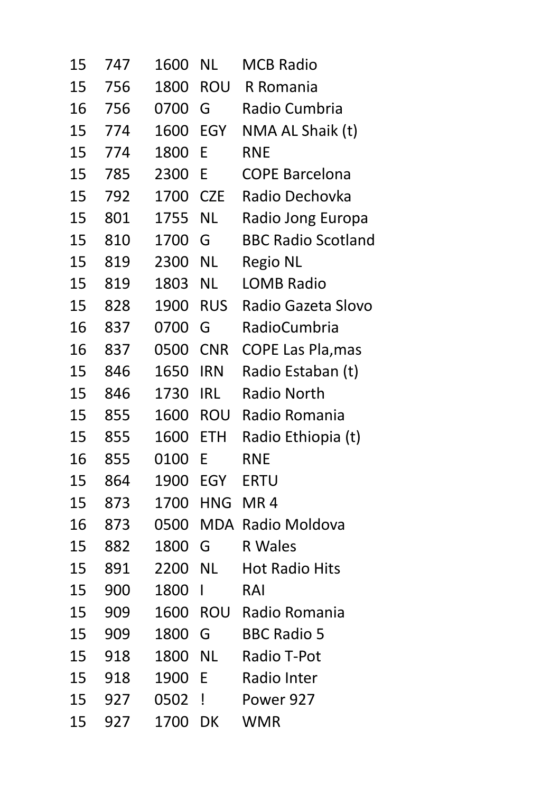| 15 | 747 | 1600 | NL           | MCB Radio                 |
|----|-----|------|--------------|---------------------------|
| 15 | 756 | 1800 | <b>ROU</b>   | R Romania                 |
| 16 | 756 | 0700 | G            | Radio Cumbria             |
| 15 | 774 | 1600 | <b>EGY</b>   | NMA AL Shaik (t)          |
| 15 | 774 | 1800 | E            | <b>RNE</b>                |
| 15 | 785 | 2300 | E            | <b>COPE Barcelona</b>     |
| 15 | 792 | 1700 | <b>CZE</b>   | Radio Dechovka            |
| 15 | 801 | 1755 | <b>NL</b>    | Radio Jong Europa         |
| 15 | 810 | 1700 | G            | <b>BBC Radio Scotland</b> |
| 15 | 819 | 2300 | <b>NL</b>    | <b>Regio NL</b>           |
| 15 | 819 | 1803 | NL           | LOMB Radio                |
| 15 | 828 | 1900 | <b>RUS</b>   | Radio Gazeta Slovo        |
| 16 | 837 | 0700 | G            | RadioCumbria              |
| 16 | 837 | 0500 | <b>CNR</b>   | <b>COPE Las Pla, mas</b>  |
| 15 | 846 | 1650 | <b>IRN</b>   | Radio Estaban (t)         |
| 15 | 846 | 1730 | <b>IRL</b>   | <b>Radio North</b>        |
| 15 | 855 | 1600 | <b>ROU</b>   | Radio Romania             |
| 15 | 855 | 1600 | <b>ETH</b>   | Radio Ethiopia (t)        |
| 16 | 855 | 0100 | E            | <b>RNE</b>                |
| 15 | 864 | 1900 | <b>EGY</b>   | <b>ERTU</b>               |
| 15 | 873 | 1700 | HNG          | MR4                       |
| 16 | 873 | 0500 |              | <b>MDA Radio Moldova</b>  |
| 15 | 882 | 1800 | G            | R Wales                   |
| 15 | 891 | 2200 | NL 1         | <b>Hot Radio Hits</b>     |
| 15 | 900 | 1800 | $\mathbf{I}$ | RAI                       |
| 15 | 909 | 1600 | ROU          | Radio Romania             |
| 15 | 909 | 1800 | G            | <b>BBC Radio 5</b>        |
| 15 | 918 | 1800 | <b>NL</b>    | Radio T-Pot               |
| 15 | 918 | 1900 | E            | Radio Inter               |
| 15 | 927 | 0502 | Ţ            | Power 927                 |
| 15 | 927 | 1700 | DK           | WMR                       |
|    |     |      |              |                           |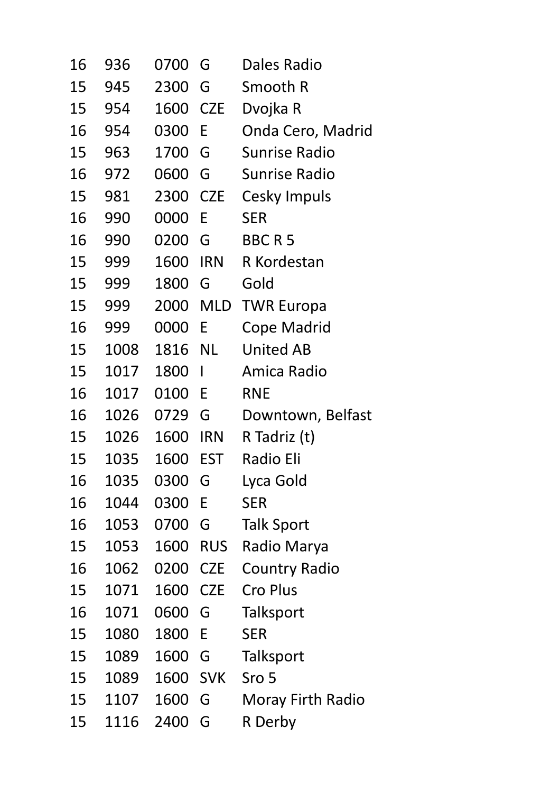| 16 | 936  | 0700 | G          | Dales Radio          |
|----|------|------|------------|----------------------|
| 15 | 945  | 2300 | G          | Smooth R             |
| 15 | 954  | 1600 | <b>CZE</b> | Dvojka R             |
| 16 | 954  | 0300 | E          | Onda Cero, Madrid    |
| 15 | 963  | 1700 | G          | <b>Sunrise Radio</b> |
| 16 | 972  | 0600 | G          | <b>Sunrise Radio</b> |
| 15 | 981  | 2300 | <b>CZE</b> | Cesky Impuls         |
| 16 | 990  | 0000 | E          | <b>SER</b>           |
| 16 | 990  | 0200 | G          | <b>BBCR5</b>         |
| 15 | 999  | 1600 | <b>IRN</b> | R Kordestan          |
| 15 | 999  | 1800 | G          | Gold                 |
| 15 | 999  | 2000 | MLD        | <b>TWR Europa</b>    |
| 16 | 999  | 0000 | E          | <b>Cope Madrid</b>   |
| 15 | 1008 | 1816 | NL         | <b>United AB</b>     |
| 15 | 1017 | 1800 | I          | Amica Radio          |
| 16 | 1017 | 0100 | E          | <b>RNE</b>           |
| 16 | 1026 | 0729 | G          | Downtown, Belfast    |
| 15 | 1026 | 1600 | <b>IRN</b> | R Tadriz (t)         |
| 15 | 1035 | 1600 | <b>EST</b> | <b>Radio Eli</b>     |
| 16 | 1035 | 0300 | G          | Lyca Gold            |
| 16 | 1044 | 0300 | E          | <b>SER</b>           |
| 16 | 1053 | 0700 | G          | <b>Talk Sport</b>    |
| 15 | 1053 | 1600 | <b>RUS</b> | Radio Marya          |
| 16 | 1062 | 0200 | <b>CZE</b> | <b>Country Radio</b> |
| 15 | 1071 | 1600 | <b>CZE</b> | <b>Cro Plus</b>      |
| 16 | 1071 | 0600 | G          | Talksport            |
| 15 | 1080 | 1800 | E          | <b>SER</b>           |
| 15 | 1089 | 1600 | G          | Talksport            |
| 15 | 1089 | 1600 | <b>SVK</b> | Sro 5                |
| 15 | 1107 | 1600 | G          | Moray Firth Radio    |
| 15 | 1116 | 2400 | G          | R Derby              |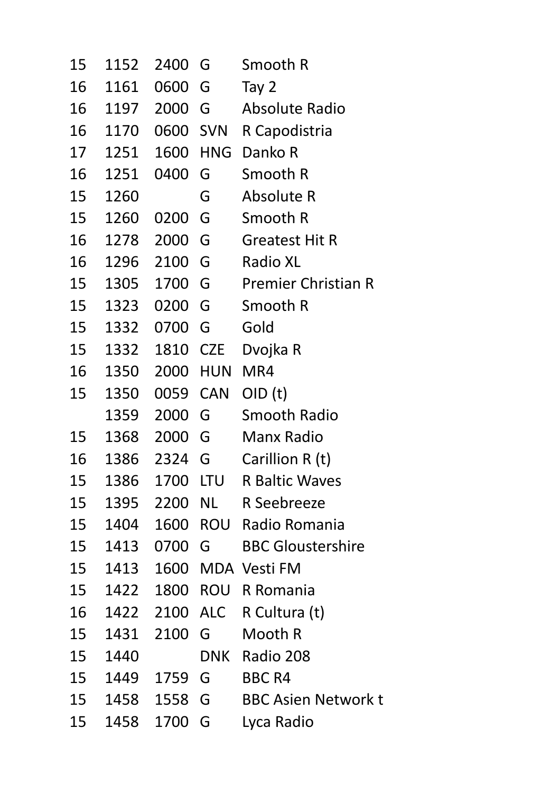| 15 | 1152 | 2400     | G          | Smooth R                   |
|----|------|----------|------------|----------------------------|
| 16 | 1161 | 0600     | G          | Tay 2                      |
| 16 | 1197 | 2000     | G          | Absolute Radio             |
| 16 | 1170 | 0600 SVN |            | R Capodistria              |
| 17 | 1251 | 1600 HNG |            | Danko R                    |
| 16 | 1251 | 0400     | G          | Smooth R                   |
| 15 | 1260 |          | G          | Absolute R                 |
| 15 | 1260 | 0200     | G          | Smooth R                   |
| 16 | 1278 | 2000     | G          | <b>Greatest Hit R</b>      |
| 16 | 1296 | 2100     | G          | <b>Radio XL</b>            |
| 15 | 1305 | 1700     | G          | <b>Premier Christian R</b> |
| 15 | 1323 | 0200     | G          | Smooth R                   |
| 15 | 1332 | 0700     | G          | Gold                       |
| 15 | 1332 | 1810     | <b>CZE</b> | Dvojka R                   |
| 16 | 1350 | 2000     | <b>HUN</b> | MR4                        |
| 15 | 1350 | 0059     | <b>CAN</b> | OID(t)                     |
|    | 1359 | 2000     | G          | Smooth Radio               |
| 15 | 1368 | 2000     | G          | Manx Radio                 |
| 16 | 1386 | 2324 G   |            | Carillion R (t)            |
| 15 | 1386 | 1700 LTU |            | <b>R</b> Baltic Waves      |
| 15 | 1395 | 2200     | <b>NL</b>  | R Seebreeze                |
| 15 | 1404 | 1600     |            | ROU Radio Romania          |
| 15 | 1413 | 0700     | G          | <b>BBC Gloustershire</b>   |
| 15 | 1413 | 1600     |            | <b>MDA Vesti FM</b>        |
| 15 | 1422 | 1800     | ROU        | R Romania                  |
| 16 | 1422 | 2100     | ALC        | R Cultura (t)              |
| 15 | 1431 | 2100     | G          | Mooth R                    |
| 15 | 1440 |          | <b>DNK</b> | Radio 208                  |
| 15 | 1449 | 1759     | G          | <b>BBC R4</b>              |
| 15 | 1458 | 1558     | G          | <b>BBC Asien Network t</b> |
| 15 | 1458 | 1700     | G          | Lyca Radio                 |